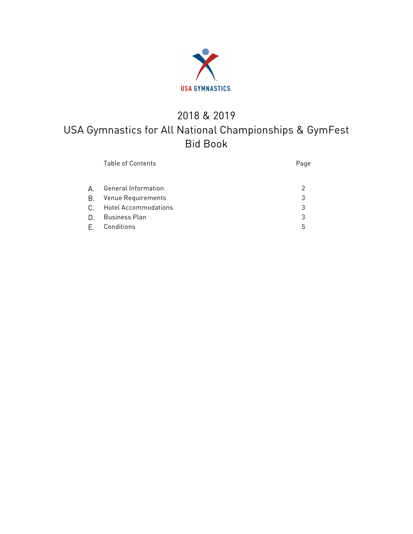

# 2018 & 2019 USA Gymnastics for All National Championships & GymFest Bid Book

|    | <b>Table of Contents</b>   | Page |
|----|----------------------------|------|
|    |                            |      |
| A  | <b>General Information</b> | 2    |
| В. | Venue Requirements         | 3    |
|    | C. Hotel Accommodations    | 3    |
| D. | Business Plan              | 3    |
|    | E. Conditions              | 5    |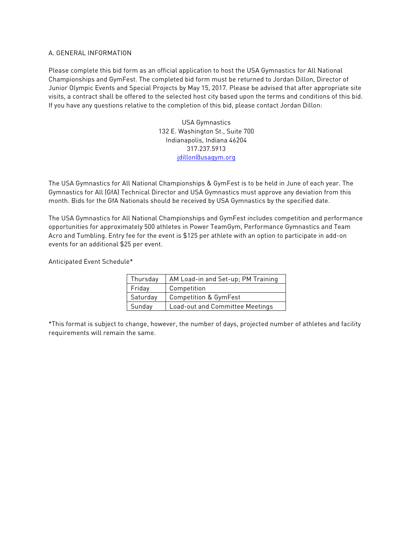#### A. GENERAL INFORMATION

Please complete this bid form as an official application to host the USA Gymnastics for All National Championships and GymFest. The completed bid form must be returned to Jordan Dillon, Director of Junior Olympic Events and Special Projects by May 15, 2017. Please be advised that after appropriate site visits, a contract shall be offered to the selected host city based upon the terms and conditions of this bid. If you have any questions relative to the completion of this bid, please contact Jordan Dillon:

> USA Gymnastics 132 E. Washington St., Suite 700 Indianapolis, Indiana 46204 317.237.5913 jdillon@usagym.org

The USA Gymnastics for All National Championships & GymFest is to be held in June of each year. The Gymnastics for All (GfA) Technical Director and USA Gymnastics must approve any deviation from this month. Bids for the GfA Nationals should be received by USA Gymnastics by the specified date.

The USA Gymnastics for All National Championships and GymFest includes competition and performance opportunities for approximately 500 athletes in Power TeamGym, Performance Gymnastics and Team Acro and Tumbling. Entry fee for the event is \$125 per athlete with an option to participate in add-on events for an additional \$25 per event.

Anticipated Event Schedule\*

| Thursday | AM Load-in and Set-up; PM Training |  |  |  |  |
|----------|------------------------------------|--|--|--|--|
| Friday   | Competition                        |  |  |  |  |
| Saturday | <b>Competition &amp; GymFest</b>   |  |  |  |  |
| Sunday   | Load-out and Committee Meetings    |  |  |  |  |

\*This format is subject to change, however, the number of days, projected number of athletes and facility requirements will remain the same.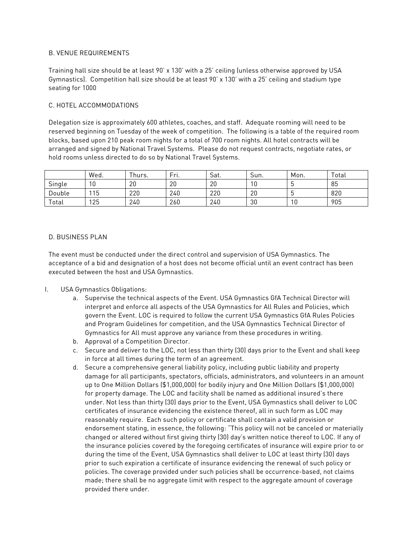### B. VENUE REQUIREMENTS

Training hall size should be at least 90' x 130' with a 25' ceiling (unless otherwise approved by USA Gymnastics). Competition hall size should be at least 90' x 130' with a 25' ceiling and stadium type seating for 1000

### C. HOTEL ACCOMMODATIONS

Delegation size is approximately 600 athletes, coaches, and staff. Adequate rooming will need to be reserved beginning on Tuesday of the week of competition. The following is a table of the required room blocks, based upon 210 peak room nights for a total of 700 room nights. All hotel contracts will be arranged and signed by National Travel Systems. Please do not request contracts, negotiate rates, or hold rooms unless directed to do so by National Travel Systems.

|        | Wed. | -<br>hurs. | $\overline{\phantom{0}}$<br>Fri. | $\sim$<br>Sat. | $\overline{\phantom{0}}$<br>Sun. | Mon. | Total |
|--------|------|------------|----------------------------------|----------------|----------------------------------|------|-------|
| Single | 10   | 20         | 20                               | 20             | 10                               |      | 85    |
| Double | 115  | 220        | 240                              | 220            | 20                               |      | 820   |
| Total  | 125  | 240        | 260                              | 240            | 30                               | 10   | 905   |

#### D. BUSINESS PLAN

The event must be conducted under the direct control and supervision of USA Gymnastics. The acceptance of a bid and designation of a host does not become official until an event contract has been executed between the host and USA Gymnastics.

- I. USA Gymnastics Obligations:
	- a. Supervise the technical aspects of the Event. USA Gymnastics GfA Technical Director will interpret and enforce all aspects of the USA Gymnastics for All Rules and Policies, which govern the Event. LOC is required to follow the current USA Gymnastics GfA Rules Policies and Program Guidelines for competition, and the USA Gymnastics Technical Director of Gymnastics for All must approve any variance from these procedures in writing.
	- b. Approval of a Competition Director.
	- c. Secure and deliver to the LOC, not less than thirty (30) days prior to the Event and shall keep in force at all times during the term of an agreement.
	- d. Secure a comprehensive general liability policy, including public liability and property damage for all participants, spectators, officials, administrators, and volunteers in an amount up to One Million Dollars (\$1,000,000) for bodily injury and One Million Dollars (\$1,000,000) for property damage. The LOC and facility shall be named as additional insured's there under. Not less than thirty (30) days prior to the Event, USA Gymnastics shall deliver to LOC certificates of insurance evidencing the existence thereof, all in such form as LOC may reasonably require. Each such policy or certificate shall contain a valid provision or endorsement stating, in essence, the following: "This policy will not be canceled or materially changed or altered without first giving thirty (30) day's written notice thereof to LOC. If any of the insurance policies covered by the foregoing certificates of insurance will expire prior to or during the time of the Event, USA Gymnastics shall deliver to LOC at least thirty (30) days prior to such expiration a certificate of insurance evidencing the renewal of such policy or policies. The coverage provided under such policies shall be occurrence-based, not claims made; there shall be no aggregate limit with respect to the aggregate amount of coverage provided there under.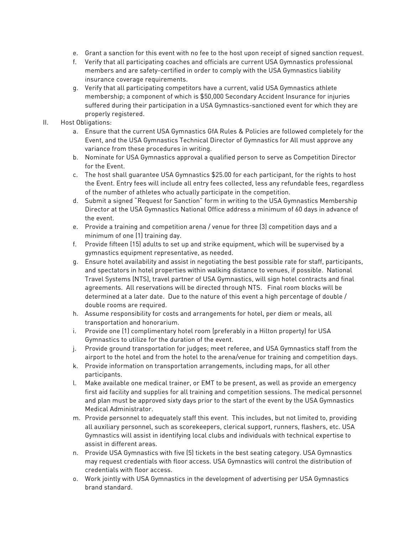- e. Grant a sanction for this event with no fee to the host upon receipt of signed sanction request.
- f. Verify that all participating coaches and officials are current USA Gymnastics professional members and are safety-certified in order to comply with the USA Gymnastics liability insurance coverage requirements.
- g. Verify that all participating competitors have a current, valid USA Gymnastics athlete membership; a component of which is \$50,000 Secondary Accident Insurance for injuries suffered during their participation in a USA Gymnastics-sanctioned event for which they are properly registered.

### II. Host Obligations:

- a. Ensure that the current USA Gymnastics GfA Rules & Policies are followed completely for the Event, and the USA Gymnastics Technical Director of Gymnastics for All must approve any variance from these procedures in writing.
- b. Nominate for USA Gymnastics approval a qualified person to serve as Competition Director for the Event.
- c. The host shall guarantee USA Gymnastics \$25.00 for each participant, for the rights to host the Event. Entry fees will include all entry fees collected, less any refundable fees, regardless of the number of athletes who actually participate in the competition.
- d. Submit a signed "Request for Sanction" form in writing to the USA Gymnastics Membership Director at the USA Gymnastics National Office address a minimum of 60 days in advance of the event.
- e. Provide a training and competition arena / venue for three (3) competition days and a minimum of one (1) training day.
- f. Provide fifteen (15) adults to set up and strike equipment, which will be supervised by a gymnastics equipment representative, as needed.
- g. Ensure hotel availability and assist in negotiating the best possible rate for staff, participants, and spectators in hotel properties within walking distance to venues, if possible. National Travel Systems (NTS), travel partner of USA Gymnastics, will sign hotel contracts and final agreements. All reservations will be directed through NTS. Final room blocks will be determined at a later date. Due to the nature of this event a high percentage of double / double rooms are required.
- h. Assume responsibility for costs and arrangements for hotel, per diem or meals, all transportation and honorarium.
- i. Provide one (1) complimentary hotel room (preferably in a Hilton property) for USA Gymnastics to utilize for the duration of the event.
- j. Provide ground transportation for judges; meet referee, and USA Gymnastics staff from the airport to the hotel and from the hotel to the arena/venue for training and competition days.
- k. Provide information on transportation arrangements, including maps, for all other participants.
- l. Make available one medical trainer, or EMT to be present, as well as provide an emergency first aid facility and supplies for all training and competition sessions. The medical personnel and plan must be approved sixty days prior to the start of the event by the USA Gymnastics Medical Administrator.
- m. Provide personnel to adequately staff this event. This includes, but not limited to, providing all auxiliary personnel, such as scorekeepers, clerical support, runners, flashers, etc. USA Gymnastics will assist in identifying local clubs and individuals with technical expertise to assist in different areas.
- n. Provide USA Gymnastics with five (5) tickets in the best seating category. USA Gymnastics may request credentials with floor access. USA Gymnastics will control the distribution of credentials with floor access.
- o. Work jointly with USA Gymnastics in the development of advertising per USA Gymnastics brand standard.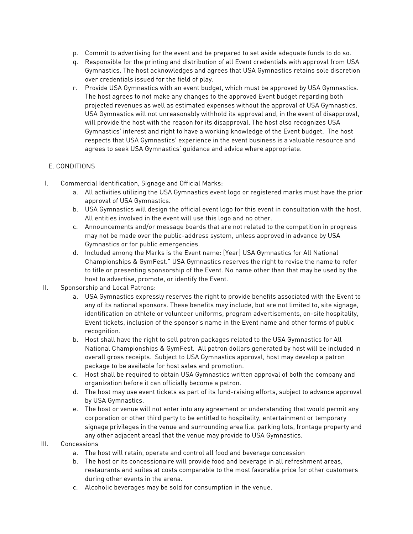- p. Commit to advertising for the event and be prepared to set aside adequate funds to do so.
- q. Responsible for the printing and distribution of all Event credentials with approval from USA Gymnastics. The host acknowledges and agrees that USA Gymnastics retains sole discretion over credentials issued for the field of play.
- r. Provide USA Gymnastics with an event budget, which must be approved by USA Gymnastics. The host agrees to not make any changes to the approved Event budget regarding both projected revenues as well as estimated expenses without the approval of USA Gymnastics. USA Gymnastics will not unreasonably withhold its approval and, in the event of disapproval, will provide the host with the reason for its disapproval. The host also recognizes USA Gymnastics' interest and right to have a working knowledge of the Event budget. The host respects that USA Gymnastics' experience in the event business is a valuable resource and agrees to seek USA Gymnastics' guidance and advice where appropriate.

## E. CONDITIONS

- I. Commercial Identification, Signage and Official Marks:
	- a. All activities utilizing the USA Gymnastics event logo or registered marks must have the prior approval of USA Gymnastics.
	- b. USA Gymnastics will design the official event logo for this event in consultation with the host. All entities involved in the event will use this logo and no other.
	- c. Announcements and/or message boards that are not related to the competition in progress may not be made over the public-address system, unless approved in advance by USA Gymnastics or for public emergencies.
	- d. Included among the Marks is the Event name: [Year] USA Gymnastics for All National Championships & GymFest." USA Gymnastics reserves the right to revise the name to refer to title or presenting sponsorship of the Event. No name other than that may be used by the host to advertise, promote, or identify the Event.
- II. Sponsorship and Local Patrons:
	- a. USA Gymnastics expressly reserves the right to provide benefits associated with the Event to any of its national sponsors. These benefits may include, but are not limited to, site signage, identification on athlete or volunteer uniforms, program advertisements, on-site hospitality, Event tickets, inclusion of the sponsor's name in the Event name and other forms of public recognition.
	- b. Host shall have the right to sell patron packages related to the USA Gymnastics for All National Championships & GymFest. All patron dollars generated by host will be included in overall gross receipts. Subject to USA Gymnastics approval, host may develop a patron package to be available for host sales and promotion.
	- c. Host shall be required to obtain USA Gymnastics written approval of both the company and organization before it can officially become a patron.
	- d. The host may use event tickets as part of its fund-raising efforts, subject to advance approval by USA Gymnastics.
	- e. The host or venue will not enter into any agreement or understanding that would permit any corporation or other third party to be entitled to hospitality, entertainment or temporary signage privileges in the venue and surrounding area (i.e. parking lots, frontage property and any other adjacent areas) that the venue may provide to USA Gymnastics.
- III. Concessions
	- a. The host will retain, operate and control all food and beverage concession
	- b. The host or its concessionaire will provide food and beverage in all refreshment areas, restaurants and suites at costs comparable to the most favorable price for other customers during other events in the arena.
	- c. Alcoholic beverages may be sold for consumption in the venue.